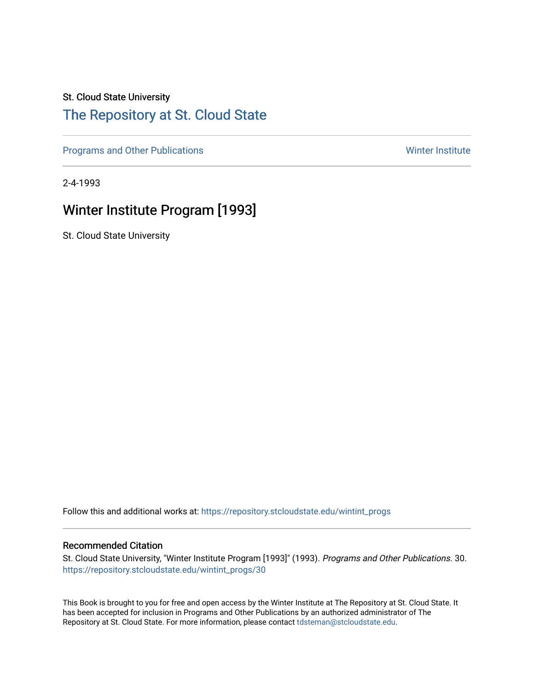#### St. Cloud State University

### [The Repository at St. Cloud State](https://repository.stcloudstate.edu/)

[Programs and Other Publications](https://repository.stcloudstate.edu/wintint_progs) National Communications National Communications Winter Institute

2-4-1993

## Winter Institute Program [1993]

St. Cloud State University

Follow this and additional works at: [https://repository.stcloudstate.edu/wintint\\_progs](https://repository.stcloudstate.edu/wintint_progs?utm_source=repository.stcloudstate.edu%2Fwintint_progs%2F30&utm_medium=PDF&utm_campaign=PDFCoverPages)

#### Recommended Citation

St. Cloud State University, "Winter Institute Program [1993]" (1993). Programs and Other Publications. 30. [https://repository.stcloudstate.edu/wintint\\_progs/30](https://repository.stcloudstate.edu/wintint_progs/30?utm_source=repository.stcloudstate.edu%2Fwintint_progs%2F30&utm_medium=PDF&utm_campaign=PDFCoverPages) 

This Book is brought to you for free and open access by the Winter Institute at The Repository at St. Cloud State. It has been accepted for inclusion in Programs and Other Publications by an authorized administrator of The Repository at St. Cloud State. For more information, please contact [tdsteman@stcloudstate.edu.](mailto:tdsteman@stcloudstate.edu)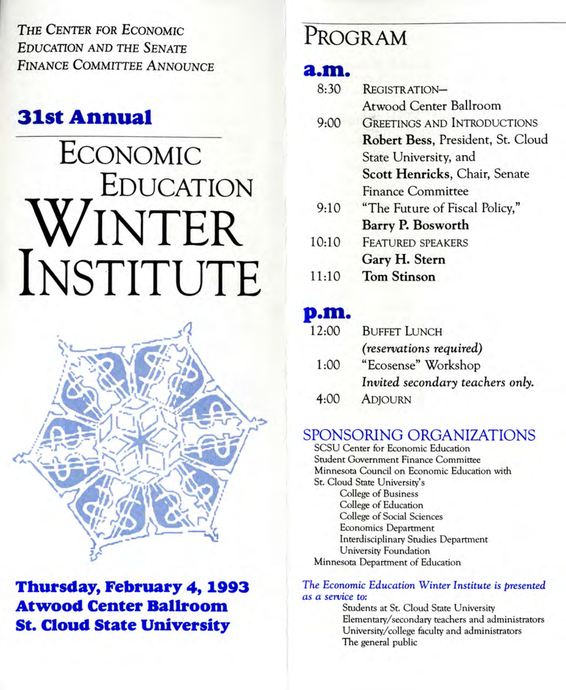THE CENTER FOR ECONOMIC EDUCATION AND THE SENATE FINANCE COMMITTEE ANNOUNCE

# **31st Annual**

# ECONOMIC EDUCATION WINTER INSTITUTE



### **Thursday, February 4, 1993 Atwood Center Ballroom St. Cloud State University**

# PROGRAM

### **a.m.**

| 8:30  | REGISTRATION-                      |  |
|-------|------------------------------------|--|
|       | Atwood Center Ballroom             |  |
| 9:00  | <b>GREETINGS AND INTRODUCTIONS</b> |  |
|       | Robert Bess, President, St. Cloud  |  |
|       | State University, and              |  |
|       | Scott Henricks, Chair, Senate      |  |
|       | <b>Finance Committee</b>           |  |
| 9:10  | "The Future of Fiscal Policy,"     |  |
|       | Barry P. Bosworth                  |  |
| 10:10 | <b>FEATURED SPEAKERS</b>           |  |
|       | Gary H. Stern                      |  |
| 11:10 | <b>Tom Stinson</b>                 |  |
|       |                                    |  |

### **p.m.**

| 12:00 | <b>BUFFET LUNCH</b>              |
|-------|----------------------------------|
|       | <i>(reservations required)</i>   |
| 1:00  | "Ecosense" Workshop              |
|       | Invited secondary teachers only. |
| 4:00  | <b>ADJOURN</b>                   |

### SPONSORING ORGANIZATIONS

SCSU Center for Economic Education Srudent Government Finance Committee Minnesota Council on Economic Education with St. Cloud State University's College of Business College of Education College of Social Sciences Economics Department Interdisciplinary Srudies Department University Foundation Minnesota Department of Education

#### *The* Economic *Education* Winter *Institute* is *presented as a service* to:

Students at St. Cloud State University Elementary/secondary teachers and administrators University/college faculty and administrators The general public